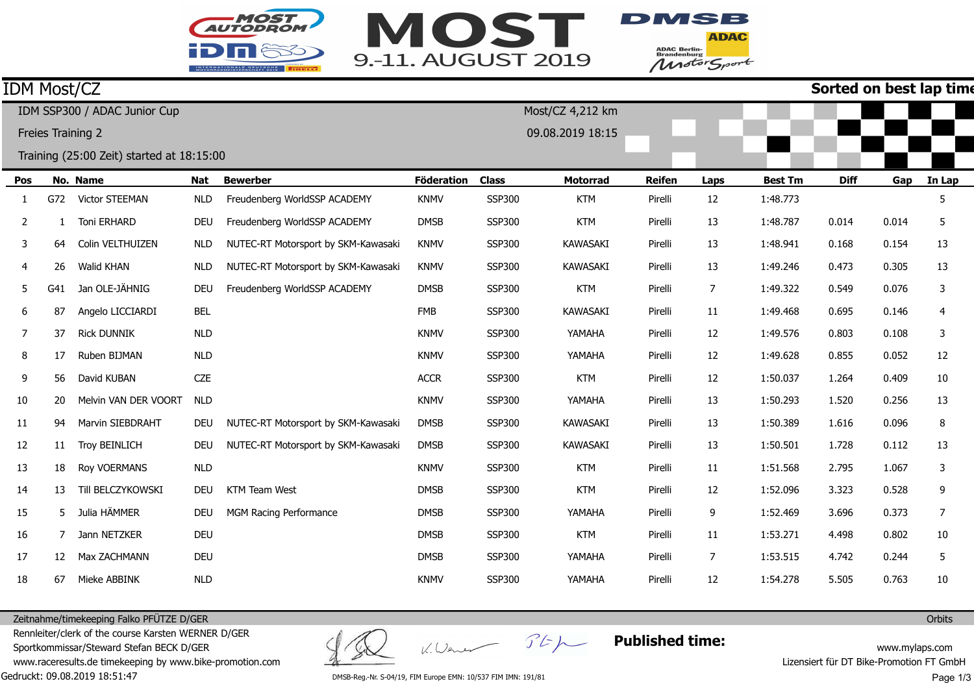



**ADAC** ADAC Berlin-<br>Brandenburg<br>Motor Sport

#### **Sorted on best lap time**

| <b>IDM Most/CZ</b>                        |     |                         |            |                                     |                   |               |                  | Sorted on best lap tim |      |                |             |       |        |
|-------------------------------------------|-----|-------------------------|------------|-------------------------------------|-------------------|---------------|------------------|------------------------|------|----------------|-------------|-------|--------|
| IDM SSP300 / ADAC Junior Cup              |     |                         |            |                                     |                   |               | Most/CZ 4,212 km |                        |      |                |             |       |        |
| Freies Training 2                         |     |                         |            |                                     |                   |               | 09.08.2019 18:15 |                        |      |                |             |       |        |
| Training (25:00 Zeit) started at 18:15:00 |     |                         |            |                                     |                   |               |                  |                        |      |                |             |       |        |
| Pos                                       |     | No. Name                | Nat        | <b>Bewerber</b>                     | <b>Föderation</b> | <b>Class</b>  | <b>Motorrad</b>  | <b>Reifen</b>          | Laps | <b>Best Tm</b> | <b>Diff</b> | Gap   | In Lap |
|                                           | G72 | <b>Victor STEEMAN</b>   | <b>NLD</b> | Freudenberg WorldSSP ACADEMY        | <b>KNMV</b>       | SSP300        | <b>KTM</b>       | Pirelli                | 12   | 1:48.773       |             |       |        |
| 2                                         |     | Toni ERHARD             | <b>DEU</b> | Freudenberg WorldSSP ACADEMY        | <b>DMSB</b>       | SSP300        | <b>KTM</b>       | Pirelli                | 13   | 1:48.787       | 0.014       | 0.014 | 5      |
| 3                                         | 64  | Colin VELTHUIZEN        | <b>NLD</b> | NUTEC-RT Motorsport by SKM-Kawasaki | <b>KNMV</b>       | SSP300        | <b>KAWASAKI</b>  | Pirelli                | 13   | 1:48.941       | 0.168       | 0.154 | 13     |
| 4                                         | 26  | Walid KHAN              | <b>NLD</b> | NUTEC-RT Motorsport by SKM-Kawasaki | <b>KNMV</b>       | <b>SSP300</b> | <b>KAWASAKI</b>  | Pirelli                | 13   | 1:49.246       | 0.473       | 0.305 | 13     |
| 5                                         | G41 | Jan OLE-JÄHNIG          | <b>DEU</b> | Freudenberg WorldSSP ACADEMY        | <b>DMSB</b>       | SSP300        | <b>KTM</b>       | Pirelli                | 7    | 1:49.322       | 0.549       | 0.076 | 3      |
| 6                                         | 87  | Angelo LICCIARDI        | <b>BEL</b> |                                     | <b>FMB</b>        | <b>SSP300</b> | <b>KAWASAKI</b>  | Pirelli                | 11   | 1:49.468       | 0.695       | 0.146 | 4      |
| 7                                         | 37  | <b>Rick DUNNIK</b>      | <b>NLD</b> |                                     | <b>KNMV</b>       | <b>SSP300</b> | YAMAHA           | Pirelli                | 12   | 1:49.576       | 0.803       | 0.108 | 3      |
| 8                                         | 17  | Ruben BIJMAN            | <b>NLD</b> |                                     | <b>KNMV</b>       | <b>SSP300</b> | YAMAHA           | Pirelli                | 12   | 1:49.628       | 0.855       | 0.052 | 12     |
| 9                                         | 56  | David KUBAN             | <b>CZE</b> |                                     | <b>ACCR</b>       | SSP300        | <b>KTM</b>       | Pirelli                | 12   | 1:50.037       | 1.264       | 0.409 | 10     |
| 10                                        | 20  | Melvin VAN DER VOORT    | <b>NLD</b> |                                     | <b>KNMV</b>       | SSP300        | YAMAHA           | Pirelli                | 13   | 1:50.293       | 1.520       | 0.256 | 13     |
| 11                                        | 94  | <b>Marvin SIEBDRAHT</b> | <b>DEU</b> | NUTEC-RT Motorsport by SKM-Kawasaki | <b>DMSB</b>       | <b>SSP300</b> | <b>KAWASAKI</b>  | Pirelli                | 13   | 1:50.389       | 1.616       | 0.096 | 8      |
| 12                                        | 11  | <b>Troy BEINLICH</b>    | <b>DEU</b> | NUTEC-RT Motorsport by SKM-Kawasaki | <b>DMSB</b>       | <b>SSP300</b> | <b>KAWASAKI</b>  | Pirelli                | 13   | 1:50.501       | 1.728       | 0.112 | 13     |
| 13                                        | 18  | Roy VOERMANS            | <b>NLD</b> |                                     | <b>KNMV</b>       | <b>SSP300</b> | <b>KTM</b>       | Pirelli                | 11   | 1:51.568       | 2.795       | 1.067 | 3      |
| 14                                        | 13  | Till BELCZYKOWSKI       | <b>DEU</b> | <b>KTM Team West</b>                | <b>DMSB</b>       | <b>SSP300</b> | <b>KTM</b>       | Pirelli                | 12   | 1:52.096       | 3.323       | 0.528 | 9      |
| 15                                        | 5.  | Julia HÄMMER            | <b>DEU</b> | MGM Racing Performance              | <b>DMSB</b>       | <b>SSP300</b> | YAMAHA           | Pirelli                | 9    | 1:52.469       | 3.696       | 0.373 | 7      |
| 16                                        |     | Jann NETZKER            | <b>DEU</b> |                                     | <b>DMSB</b>       | SSP300        | <b>KTM</b>       | Pirelli                | 11   | 1:53.271       | 4.498       | 0.802 | 10     |
| 17                                        | 12  | Max ZACHMANN            | <b>DEU</b> |                                     | <b>DMSB</b>       | SSP300        | YAMAHA           | Pirelli                | 7    | 1:53.515       | 4.742       | 0.244 | 5      |
| 18                                        | 67  | Mieke ABBINK            | <b>NLD</b> |                                     | <b>KNMV</b>       | SSP300        | YAMAHA           | Pirelli                | 12   | 1:54.278       | 5.505       | 0.763 | 10     |

Zeitnahme/timekeeping Falko PFÜTZE D/GER

Gedruckt: 09.08.2019 18:51:47 Rennleiter/clerk of the course Karsten WERNER D/GERSportkommissar/Steward Stefan BECK D/GER www.raceresults.de timekeeping by www.bike-promotion.com

K. Wener Stp

**Published time:**

www.mylaps.com Lizensiert für DT Bike-Promotion FT GmbH

DMSB-Reg.-Nr. S-04/19, FIM Europe EMN: 10/537 FIM IMN: 191/81

Page 1/3

**Orbits**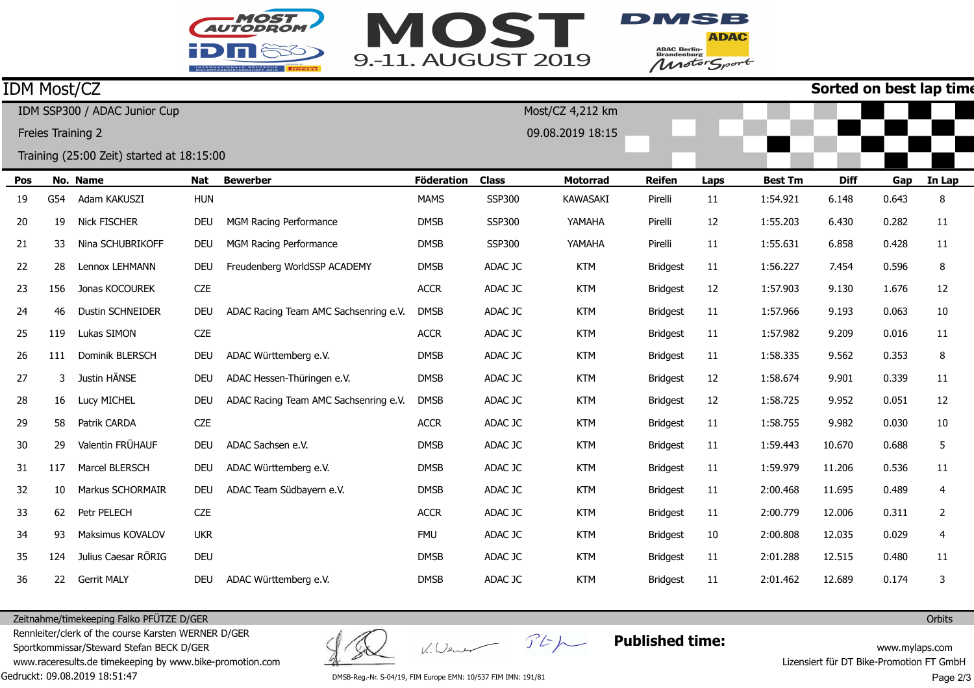



**ADAC** ADAC Berlin-<br>Brandenburg<br>Motor Sport

## **Sorted on best lap time**

| <b>IDM Most/CZ</b>           |     |                                           |            |                                       |                   |               |                  |                 |      |                | Sorted on best lap tim |       |        |
|------------------------------|-----|-------------------------------------------|------------|---------------------------------------|-------------------|---------------|------------------|-----------------|------|----------------|------------------------|-------|--------|
| IDM SSP300 / ADAC Junior Cup |     |                                           |            |                                       | Most/CZ 4,212 km  |               |                  |                 |      |                |                        |       |        |
| Freies Training 2            |     |                                           |            |                                       |                   |               | 09.08.2019 18:15 |                 |      |                |                        |       |        |
|                              |     | Training (25:00 Zeit) started at 18:15:00 |            |                                       |                   |               |                  |                 |      |                |                        |       |        |
| Pos                          |     | No. Name                                  | Nat        | <b>Bewerber</b>                       | <b>Föderation</b> | <b>Class</b>  | <b>Motorrad</b>  | <b>Reifen</b>   | Laps | <b>Best Tm</b> | <b>Diff</b>            | Gap   | In Lap |
| 19                           | G54 | Adam KAKUSZI                              | <b>HUN</b> |                                       | <b>MAMS</b>       | <b>SSP300</b> | <b>KAWASAKI</b>  | Pirelli         | 11   | 1:54.921       | 6.148                  | 0.643 | 8      |
| 20                           | 19  | Nick FISCHER                              | <b>DEU</b> | MGM Racing Performance                | <b>DMSB</b>       | <b>SSP300</b> | YAMAHA           | Pirelli         | 12   | 1:55.203       | 6.430                  | 0.282 | 11     |
| 21                           | 33  | Nina SCHUBRIKOFF                          | <b>DEU</b> | MGM Racing Performance                | <b>DMSB</b>       | SSP300        | YAMAHA           | Pirelli         | 11   | 1:55.631       | 6.858                  | 0.428 | 11     |
| 22                           | 28  | Lennox LEHMANN                            | <b>DEU</b> | Freudenberg WorldSSP ACADEMY          | <b>DMSB</b>       | ADAC JC       | <b>KTM</b>       | <b>Bridgest</b> | 11   | 1:56.227       | 7.454                  | 0.596 | 8      |
| 23                           | 156 | Jonas KOCOUREK                            | <b>CZE</b> |                                       | <b>ACCR</b>       | ADAC JC       | <b>KTM</b>       | <b>Bridgest</b> | 12   | 1:57.903       | 9.130                  | 1.676 | 12     |
| 24                           | 46  | Dustin SCHNEIDER                          | <b>DEU</b> | ADAC Racing Team AMC Sachsenring e.V. | <b>DMSB</b>       | ADAC JC       | <b>KTM</b>       | <b>Bridgest</b> | 11   | 1:57.966       | 9.193                  | 0.063 | 10     |
| 25                           | 119 | Lukas SIMON                               | CZE        |                                       | <b>ACCR</b>       | ADAC JC       | <b>KTM</b>       | <b>Bridgest</b> | 11   | 1:57.982       | 9.209                  | 0.016 | 11     |
| 26                           | 111 | Dominik BLERSCH                           | <b>DEU</b> | ADAC Württemberg e.V.                 | <b>DMSB</b>       | ADAC JC       | <b>KTM</b>       | <b>Bridgest</b> | 11   | 1:58.335       | 9.562                  | 0.353 | 8      |
| 27                           | 3   | Justin HÄNSE                              | <b>DEU</b> | ADAC Hessen-Thüringen e.V.            | <b>DMSB</b>       | ADAC JC       | <b>KTM</b>       | <b>Bridgest</b> | 12   | 1:58.674       | 9.901                  | 0.339 | 11     |
| 28                           | 16  | Lucy MICHEL                               | <b>DEU</b> | ADAC Racing Team AMC Sachsenring e.V. | <b>DMSB</b>       | ADAC JC       | <b>KTM</b>       | <b>Bridgest</b> | 12   | 1:58.725       | 9.952                  | 0.051 | 12     |
| 29                           | 58  | Patrik CARDA                              | <b>CZE</b> |                                       | <b>ACCR</b>       | ADAC JC       | <b>KTM</b>       | <b>Bridgest</b> | 11   | 1:58.755       | 9.982                  | 0.030 | 10     |
| 30                           | 29  | Valentin FRÜHAUF                          | <b>DEU</b> | ADAC Sachsen e.V.                     | <b>DMSB</b>       | ADAC JC       | <b>KTM</b>       | <b>Bridgest</b> | 11   | 1:59.443       | 10.670                 | 0.688 | 5      |
| 31                           | 117 | Marcel BLERSCH                            | <b>DEU</b> | ADAC Württemberg e.V.                 | <b>DMSB</b>       | ADAC JC       | <b>KTM</b>       | <b>Bridgest</b> | 11   | 1:59.979       | 11.206                 | 0.536 | 11     |
| 32                           | 10  | Markus SCHORMAIR                          | <b>DEU</b> | ADAC Team Südbayern e.V.              | <b>DMSB</b>       | ADAC JC       | <b>KTM</b>       | <b>Bridgest</b> | 11   | 2:00.468       | 11.695                 | 0.489 | 4      |
| 33                           | 62  | Petr PELECH                               | <b>CZE</b> |                                       | <b>ACCR</b>       | ADAC JC       | <b>KTM</b>       | <b>Bridgest</b> | 11   | 2:00.779       | 12.006                 | 0.311 | 2      |
| 34                           | 93  | Maksimus KOVALOV                          | <b>UKR</b> |                                       | <b>FMU</b>        | ADAC JC       | <b>KTM</b>       | <b>Bridgest</b> | 10   | 2:00.808       | 12.035                 | 0.029 | 4      |
| 35                           | 124 | Julius Caesar RÖRIG                       | <b>DEU</b> |                                       | <b>DMSB</b>       | ADAC JC       | <b>KTM</b>       | <b>Bridgest</b> | 11   | 2:01.288       | 12.515                 | 0.480 | 11     |
| 36                           | 22  | Gerrit MALY                               | <b>DEU</b> | ADAC Württemberg e.V.                 | <b>DMSB</b>       | ADAC JC       | <b>KTM</b>       | <b>Bridgest</b> | 11   | 2:01.462       | 12.689                 | 0.174 | 3      |

Zeitnahme/timekeeping Falko PFÜTZE D/GER

Gedruckt: 09.08.2019 18:51:47 Rennleiter/clerk of the course Karsten WERNER D/GERSportkommissar/Steward Stefan BECK D/GER www.raceresults.de timekeeping by www.bike-promotion.com

K. Wener Stp

**Published time:**

www.mylaps.com Lizensiert für DT Bike-Promotion FT GmbH

DMSB-Reg.-Nr. S-04/19, FIM Europe EMN: 10/537 FIM IMN: 191/81

Page 2/3

**Orbits**